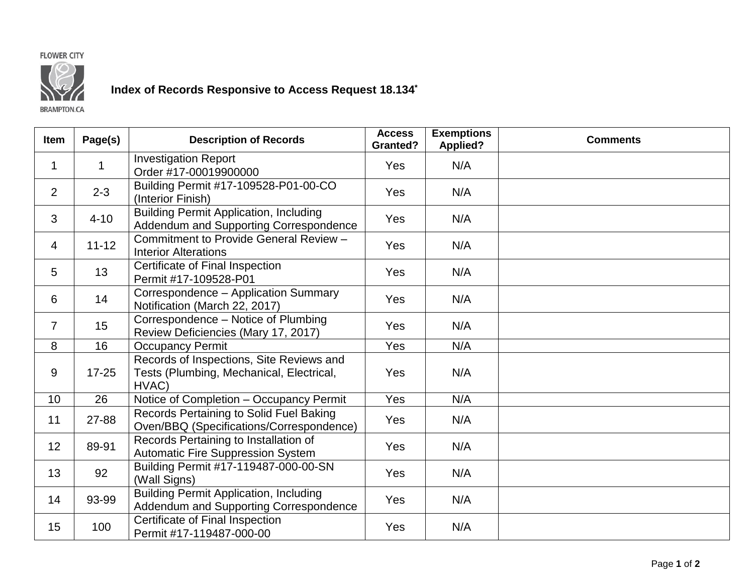## **FLOWER CITY**



## Index of Records Responsive to Access Request 18.134<sup>\*</sup>

**BRAMPTON.CA** 

| <b>Item</b>    | Page(s)   | <b>Description of Records</b>                                                                 | <b>Access</b><br><b>Granted?</b> | <b>Exemptions</b><br><b>Applied?</b> | <b>Comments</b> |
|----------------|-----------|-----------------------------------------------------------------------------------------------|----------------------------------|--------------------------------------|-----------------|
| $\mathbf 1$    | 1         | <b>Investigation Report</b><br>Order #17-00019900000                                          | Yes                              | N/A                                  |                 |
| 2              | $2 - 3$   | Building Permit #17-109528-P01-00-CO<br>(Interior Finish)                                     | Yes                              | N/A                                  |                 |
| 3              | $4 - 10$  | <b>Building Permit Application, Including</b><br>Addendum and Supporting Correspondence       | Yes                              | N/A                                  |                 |
| $\overline{4}$ | $11 - 12$ | Commitment to Provide General Review -<br><b>Interior Alterations</b>                         | Yes                              | N/A                                  |                 |
| 5              | 13        | Certificate of Final Inspection<br>Permit #17-109528-P01                                      | Yes                              | N/A                                  |                 |
| 6              | 14        | Correspondence - Application Summary<br>Notification (March 22, 2017)                         | <b>Yes</b>                       | N/A                                  |                 |
| $\overline{7}$ | 15        | Correspondence - Notice of Plumbing<br>Review Deficiencies (Mary 17, 2017)                    | Yes                              | N/A                                  |                 |
| 8              | 16        | <b>Occupancy Permit</b>                                                                       | Yes                              | N/A                                  |                 |
| 9              | $17 - 25$ | Records of Inspections, Site Reviews and<br>Tests (Plumbing, Mechanical, Electrical,<br>HVAC) | Yes                              | N/A                                  |                 |
| 10             | 26        | Notice of Completion - Occupancy Permit                                                       | Yes                              | N/A                                  |                 |
| 11             | 27-88     | Records Pertaining to Solid Fuel Baking<br>Oven/BBQ (Specifications/Correspondence)           | Yes                              | N/A                                  |                 |
| 12             | 89-91     | Records Pertaining to Installation of<br><b>Automatic Fire Suppression System</b>             | <b>Yes</b>                       | N/A                                  |                 |
| 13             | 92        | Building Permit #17-119487-000-00-SN<br>(Wall Signs)                                          | Yes                              | N/A                                  |                 |
| 14             | 93-99     | <b>Building Permit Application, Including</b><br>Addendum and Supporting Correspondence       | Yes                              | N/A                                  |                 |
| 15             | 100       | Certificate of Final Inspection<br>Permit #17-119487-000-00                                   | Yes                              | N/A                                  |                 |